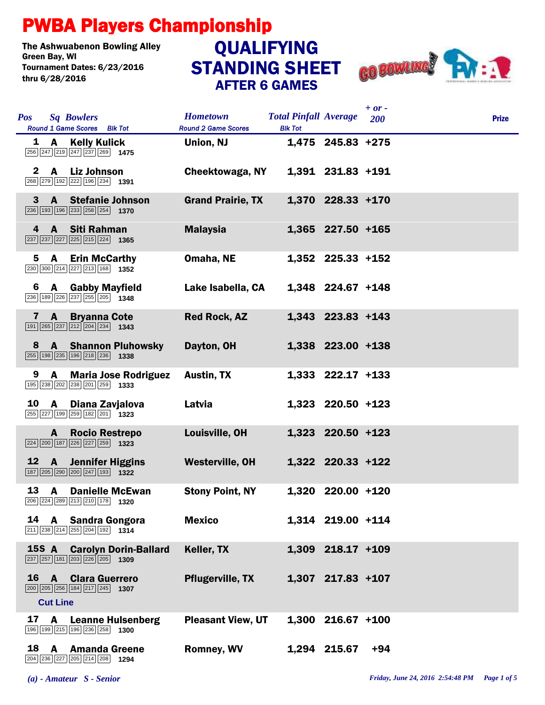## PWBA Players Championship

The Ashwuabenon Bowling Alley<br>Green Bav. WI Tournament Dates: 6/23/2016 thru 6/28/2016

## STANDING SHEET AFTER 6 GAMES **QUALIFYING**



| <b>Pos</b>   | <b>Sq Bowlers</b><br>Round 1 Game Scores Blk Tot                                                                            | <b>Hometown</b><br><b>Round 2 Game Scores</b> | <b>Total Pinfall Average</b><br><b>Blk Tot</b> |                     | $+$ or $-$<br>200 | <b>Prize</b> |  |
|--------------|-----------------------------------------------------------------------------------------------------------------------------|-----------------------------------------------|------------------------------------------------|---------------------|-------------------|--------------|--|
|              | 1 A Kelly Kulick<br>$\boxed{256}\boxed{247}\boxed{219}\boxed{247}\boxed{237}\boxed{269}$ 1475                               | Union, NJ                                     |                                                | 1,475 245.83 +275   |                   |              |  |
| $\mathbf{2}$ | <b>Liz Johnson</b><br>$\mathsf{A}$<br>268 279 192 222 196 234 1391                                                          | Cheektowaga, NY                               |                                                | 1,391 231.83 +191   |                   |              |  |
| $\bf{3}$     | <b>Stefanie Johnson</b><br>$\mathbf{A}$<br>236 193 196 233 258 254 1370                                                     | <b>Grand Prairie, TX</b>                      |                                                | 1,370 228.33 +170   |                   |              |  |
| 4            | A Siti Rahman<br>237 237 227 225 215 224 1365                                                                               | <b>Malaysia</b>                               |                                                | 1,365 227.50 +165   |                   |              |  |
| 5            | $\mathbf{A}$<br><b>Erin McCarthy</b><br>230 300 214 227 213 168 1352                                                        | Omaha, NE                                     |                                                | 1,352 225.33 +152   |                   |              |  |
| 6            | <b>A</b> Gabby Mayfield<br>236 189 226 237 255 205 1348                                                                     | Lake Isabella, CA                             |                                                | 1,348 224.67 +148   |                   |              |  |
| 7            | A<br><b>Bryanna Cote</b><br>$\boxed{191}$ $\boxed{265}$ $\boxed{237}$ $\boxed{212}$ $\boxed{204}$ $\boxed{234}$ <b>1343</b> | <b>Red Rock, AZ</b>                           |                                                | 1,343 223.83 +143   |                   |              |  |
| 8            | <b>A</b> Shannon Pluhowsky<br>255 198 235 196 218 236 1338                                                                  | Dayton, OH                                    |                                                | 1,338 223.00 +138   |                   |              |  |
| 9            | A<br><b>Maria Jose Rodriguez</b><br>195 238 202 238 201 259 1333                                                            | <b>Austin, TX</b>                             |                                                | $1,333$ 222.17 +133 |                   |              |  |
| 10           | $\mathbf{A}$<br>Diana Zavjalova<br>255 227 199 259 182 201 1323                                                             | Latvia                                        |                                                | 1,323 220.50 +123   |                   |              |  |
|              | <b>Rocio Restrepo</b><br>A<br>224 200 187 226 227 259 1323                                                                  | Louisville, OH                                |                                                | 1,323 220.50 +123   |                   |              |  |
| 12           | $\overline{A}$<br><b>Jennifer Higgins</b><br>187 205 290 200 247 193 1322                                                   | <b>Westerville, OH</b>                        |                                                | 1,322 220.33 +122   |                   |              |  |
| 13           | <b>Danielle McEwan</b><br>A<br>$\boxed{206}$ $\boxed{224}$ $\boxed{289}$ $\boxed{213}$ $\boxed{210}$ $\boxed{178}$ 1320     | <b>Stony Point, NY</b>                        |                                                | 1,320 220.00 +120   |                   |              |  |
| 14           | A<br><b>Sandra Gongora</b><br>$\boxed{211}$ $\boxed{238}$ $\boxed{214}$ $\boxed{255}$ $\boxed{204}$ $\boxed{192}$ 1314      | <b>Mexico</b>                                 |                                                | 1,314 219.00 +114   |                   |              |  |
|              | <b>15S A</b><br><b>Carolyn Dorin-Ballard</b><br>237 257 181 203 226 205 1309                                                | Keller, TX                                    |                                                | 1,309 218.17 +109   |                   |              |  |
| 16           | <b>Clara Guerrero</b><br>$\mathbf{A}$<br>200 205 256 184 217 245 1307<br><b>Cut Line</b>                                    | <b>Pflugerville, TX</b>                       |                                                | 1,307 217.83 +107   |                   |              |  |
| 17           | <b>Leanne Hulsenberg</b><br>A<br>196 199 215 196 236 258 1300                                                               | <b>Pleasant View, UT</b>                      |                                                | $1,300$ 216.67 +100 |                   |              |  |
| 18           | A<br><b>Amanda Greene</b><br>204 236 227 205 214 208 1294                                                                   | <b>Romney, WV</b>                             |                                                | 1,294 215.67        | $+94$             |              |  |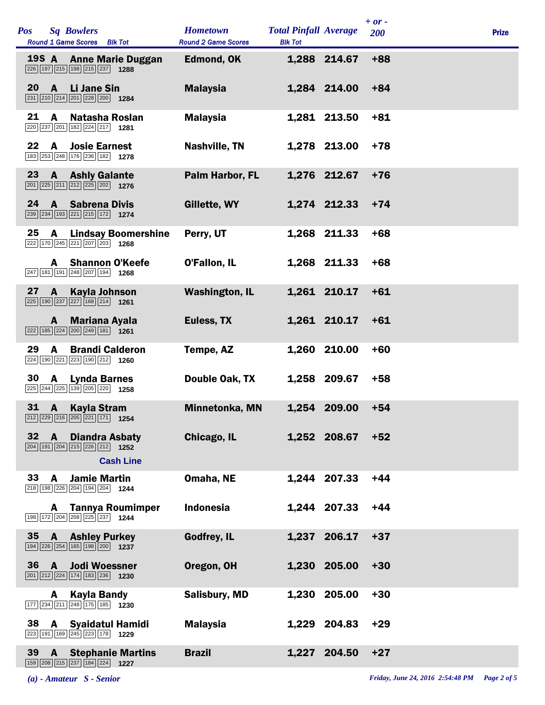| Pos   | <b>Sq Bowlers</b><br><b>Round 1 Game Scores</b><br>Blk Tot                                                                                           | <b>Hometown</b><br><b>Round 2 Game Scores</b> | <b>Total Pinfall Average</b><br><b>Blk Tot</b> |              | $+ or -$<br>200 | <b>Prize</b> |
|-------|------------------------------------------------------------------------------------------------------------------------------------------------------|-----------------------------------------------|------------------------------------------------|--------------|-----------------|--------------|
| 19S A | <b>Anne Marie Duggan</b><br>226 197 215 198 215 237 1288                                                                                             | Edmond, OK                                    |                                                | 1,288 214.67 | $+88$           |              |
| 20    | $\mathbf{A}$<br><b>Li Jane Sin</b><br>231 210 214 201 228 200 1284                                                                                   | <b>Malaysia</b>                               |                                                | 1,284 214.00 | $+84$           |              |
| 21    | A<br>Natasha Roslan<br>220 237 201 182 224 217 1281                                                                                                  | <b>Malaysia</b>                               |                                                | 1,281 213.50 | $+81$           |              |
| 22    | A<br><b>Josie Earnest</b><br>183 253 248 176 236 182 1278                                                                                            | <b>Nashville, TN</b>                          |                                                | 1,278 213.00 | $+78$           |              |
| 23    | <b>Ashly Galante</b><br>$\mathbf{A}$<br>201 225 211 212 225 202 1276                                                                                 | Palm Harbor, FL                               |                                                | 1,276 212.67 | $+76$           |              |
| 24    | $\mathbf{A}$<br><b>Sabrena Divis</b><br>239 234 193 221 215 172 1274                                                                                 | Gillette, WY                                  |                                                | 1,274 212.33 | $+74$           |              |
| 25    | $\mathbf{A}$<br><b>Lindsay Boomershine</b><br>222 170 245 221 207 203 1268                                                                           | Perry, UT                                     |                                                | 1,268 211.33 | $+68$           |              |
|       | <b>Shannon O'Keefe</b><br>A<br>247 181 191 248 207 194<br>1268                                                                                       | O'Fallon, IL                                  |                                                | 1,268 211.33 | +68             |              |
| 27    | <b>Kayla Johnson</b><br>A<br>225 190 237 227 168 214 1261                                                                                            | <b>Washington, IL</b>                         |                                                | 1,261 210.17 | $+61$           |              |
|       | <b>Mariana Ayala</b><br>A<br>$\boxed{222}$ 185 224 200 249 181 1261                                                                                  | Euless, TX                                    |                                                | 1,261 210.17 | $+61$           |              |
| 29    | <b>Brandi Calderon</b><br>A<br>224 190 221 223 190 212 1260                                                                                          | Tempe, AZ                                     |                                                | 1,260 210.00 | $+60$           |              |
| 30    | <b>A</b><br><b>Lynda Barnes</b><br>$\overline{225}$ $\overline{244}$ $\overline{225}$ $\overline{139}$ $\overline{205}$ $\overline{220}$ <b>1258</b> | Double Oak, TX                                |                                                | 1,258 209.67 | $+58$           |              |
| 31    | $\mathbf{A}$<br><b>Kayla Stram</b><br>$\boxed{212}\boxed{229}\boxed{216}\boxed{205}\boxed{221}\boxed{171}$ 1254                                      | <b>Minnetonka, MN</b>                         |                                                | 1,254 209.00 | $+54$           |              |
| 32    | <b>Diandra Asbaty</b><br>A<br>204 191 204 215 226 212 1252                                                                                           | Chicago, IL                                   |                                                | 1,252 208.67 | $+52$           |              |
| 33    | <b>Cash Line</b>                                                                                                                                     |                                               |                                                |              |                 |              |
|       | <b>Jamie Martin</b><br>A<br>218 198 226 204 194 204 1244                                                                                             | Omaha, NE                                     |                                                | 1,244 207.33 | $+44$           |              |
|       | <b>Tannya Roumimper</b><br>A<br>198 172 204 208 225 237 1244                                                                                         | <b>Indonesia</b>                              |                                                | 1,244 207.33 | $+44$           |              |
| 35    | <b>Ashley Purkey</b><br>$\mathbf{A}$<br>194 226 254 165 198 200 1237                                                                                 | <b>Godfrey, IL</b>                            |                                                | 1,237 206.17 | $+37$           |              |
| 36    | <b>Jodi Woessner</b><br>A<br>$\boxed{201}$ $\boxed{212}$ $\boxed{224}$ $\boxed{174}$ $\boxed{183}$ $\boxed{236}$ <b>1230</b>                         | Oregon, OH                                    |                                                | 1,230 205.00 | $+30$           |              |
|       | Kayla Bandy<br>A<br>177 234 211 248 175 185 1230                                                                                                     | <b>Salisbury, MD</b>                          |                                                | 1,230 205.00 | $+30$           |              |
| 38    | A<br><b>Syaidatul Hamidi</b><br>223 191 169 245 223 178 1229                                                                                         | <b>Malaysia</b>                               |                                                | 1,229 204.83 | $+29$           |              |
| 39    | <b>Stephanie Martins</b><br>A<br>159 208 215 237 184 224 1227                                                                                        | <b>Brazil</b>                                 | 1,227                                          | 204.50       | $+27$           |              |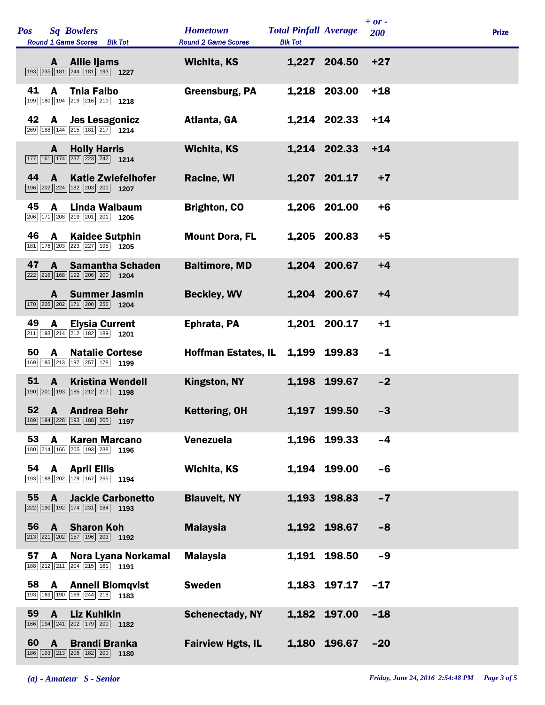| <b>Pos</b> |              | <b>Sq Bowlers</b><br>Round 1 Game Scores Blk Tot                                                                             | <b>Hometown</b><br><b>Round 2 Game Scores</b> | <b>Total Pinfall Average</b><br><b>Blk Tot</b> |              | $+ or -$<br><b>200</b> | <b>Prize</b> |
|------------|--------------|------------------------------------------------------------------------------------------------------------------------------|-----------------------------------------------|------------------------------------------------|--------------|------------------------|--------------|
|            | A –          | <b>Allie ljams</b><br>193 235 181 244 181 193 1227                                                                           | <b>Wichita, KS</b>                            |                                                | 1,227 204.50 | $+27$                  |              |
| 41         | A            | <b>Thia Falbo</b><br>199 180 194 219 216 210 1218                                                                            | Greensburg, PA                                |                                                | 1,218 203.00 | $+18$                  |              |
| 42         | A            | <b>Jes Lesagonicz</b><br>269 188 144 215 181 217 1214                                                                        | Atlanta, GA                                   |                                                | 1,214 202.33 | $+14$                  |              |
|            | $\mathbf{A}$ | <b>Holly Harris</b><br>$\boxed{177}$ $\boxed{161}$ $\boxed{174}$ $\boxed{237}$ $\boxed{223}$ $\boxed{242}$ 1214              | <b>Wichita, KS</b>                            |                                                | 1,214 202.33 | $+14$                  |              |
| 44         | A            | <b>Katie Zwiefelhofer</b><br>$\boxed{196}$ $\boxed{202}$ $\boxed{224}$ $\boxed{182}$ $\boxed{203}$ $\boxed{200}$ <b>1207</b> | <b>Racine, WI</b>                             |                                                | 1,207 201.17 | $+7$                   |              |
| 45         | A            | Linda Walbaum<br>206 171 208 219 201 201 1206                                                                                | <b>Brighton, CO</b>                           |                                                | 1,206 201.00 | $+6$                   |              |
| 46         | $\mathbf{A}$ | <b>Kaidee Sutphin</b><br>181 176 203 223 227 195 1205                                                                        | <b>Mount Dora, FL</b>                         |                                                | 1,205 200.83 | $+5$                   |              |
| 47         | $\mathbf{A}$ | <b>Samantha Schaden</b><br>222 216 168 192 206 200 1204                                                                      | <b>Baltimore, MD</b>                          |                                                | 1,204 200.67 | $+4$                   |              |
|            | A            | <b>Summer Jasmin</b><br>170 205 202 171 200 256 1204                                                                         | <b>Beckley, WV</b>                            |                                                | 1,204 200.67 | $+4$                   |              |
| 49         | A            | <b>Elysia Current</b><br>$\boxed{211}$ 193 $\boxed{214}$ $\boxed{212}$ 182 189 1201                                          | Ephrata, PA                                   |                                                | 1,201 200.17 | $+1$                   |              |
| 50         | $\mathbf{A}$ | <b>Natalie Cortese</b><br>169 185 213 197 257 178 1199                                                                       | <b>Hoffman Estates, IL</b>                    |                                                | 1,199 199.83 | $-1$                   |              |
| 51         | $\mathbf{A}$ | <b>Kristina Wendell</b><br>190 201 193 185 212 217 1198                                                                      | <b>Kingston, NY</b>                           | 1,198                                          | 199.67       | $-2$                   |              |
| 52         | A            | <b>Andrea Behr</b><br>189 194 228 193 188 205<br>1197                                                                        | <b>Kettering, OH</b>                          | 1,197                                          | 199.50       | $-3$                   |              |
| 53         | A            | <b>Karen Marcano</b><br>180 214 166 205 193 238<br>1196                                                                      | Venezuela                                     |                                                | 1,196 199.33 | $-4$                   |              |
| 54         | A            | <b>April Ellis</b><br>193 188 202 179 167 265 1194                                                                           | Wichita, KS                                   |                                                | 1,194 199.00 | $-6$                   |              |
| 55         | $\mathbf{A}$ | <b>Jackie Carbonetto</b><br>222 190 192 174 231 184 193                                                                      | <b>Blauvelt, NY</b>                           | 1,193                                          | 198.83       | $-7$                   |              |
| 56         | $\mathbf{A}$ | <b>Sharon Koh</b><br>213 221 202 157 196 203 1192                                                                            | <b>Malaysia</b>                               |                                                | 1,192 198.67 | $-8$                   |              |
| 57         | A            | Nora Lyana Norkamal<br>188 212 211 204 215 161 191                                                                           | <b>Malaysia</b>                               |                                                | 1,191 198.50 | $-9$                   |              |
| 58         | A            | <b>Anneli Blomqvist</b><br>193 169 190 169 244 218 1183                                                                      | <b>Sweden</b>                                 |                                                | 1,183 197.17 | $-17$                  |              |
| 59         | $\mathbf{A}$ | <b>Liz Kuhlkin</b><br>166 194 241 202 179 200 1182                                                                           | <b>Schenectady, NY</b>                        | 1,182                                          | 197.00       | $-18$                  |              |
| 60         | A            | <b>Brandi Branka</b><br>186 193 213 206 182 200 180                                                                          | <b>Fairview Hgts, IL</b>                      | 1,180                                          | 196.67       | $-20$                  |              |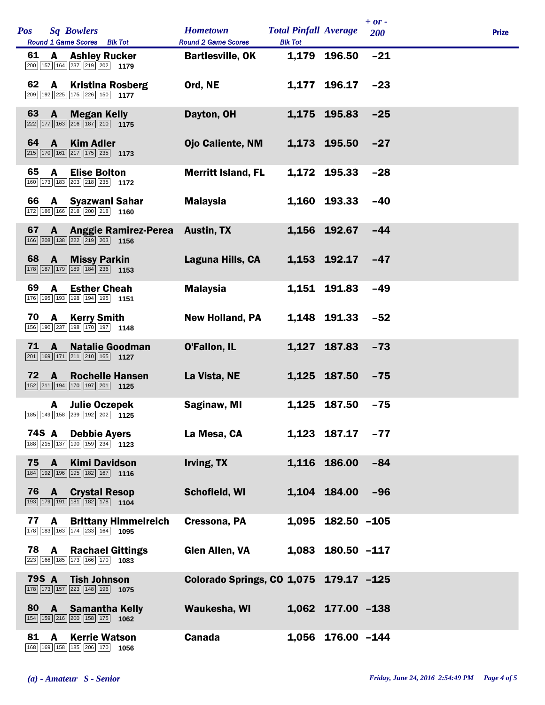| <b>Sq Bowlers</b><br><b>Pos</b><br>Round 1 Game Scores Blk Tot                                                                       | <b>Hometown</b><br><b>Round 2 Game Scores</b> | <b>Total Pinfall Average</b><br><b>Blk Tot</b> |                     | $+ or -$<br>200 | <b>Prize</b> |
|--------------------------------------------------------------------------------------------------------------------------------------|-----------------------------------------------|------------------------------------------------|---------------------|-----------------|--------------|
| 61<br><b>A</b> Ashley Rucker<br>$\boxed{200}$ 157 164 237 219 202 1179                                                               | <b>Bartlesville, OK</b>                       |                                                | 1,179 196.50        | $-21$           |              |
| 62<br>$\mathbf{A}$<br><b>Kristina Rosberg</b><br>209 192 225 175 226 150 1177                                                        | Ord, NE                                       |                                                | 1,177 196.17        | $-23$           |              |
| 63<br><b>Megan Kelly</b><br>$\mathbf{A}$<br>$\boxed{222}$ 177 163 216 187 210 175                                                    | Dayton, OH                                    |                                                | 1,175 195.83        | $-25$           |              |
| 64<br>$\overline{A}$<br><b>Kim Adler</b><br>$\boxed{215}$ 170 161 217 175 235 1173                                                   | <b>Ojo Caliente, NM</b>                       |                                                | 1,173 195.50        | $-27$           |              |
| 65<br>$\mathbf{A}$<br><b>Elise Bolton</b><br>160 173 183 203 218 235 1172                                                            | <b>Merritt Island, FL</b>                     |                                                | 1,172 195.33        | $-28$           |              |
| 66 A Syazwani Sahar<br>172 186 166 218 200 218 1160                                                                                  | <b>Malaysia</b>                               |                                                | 1,160 193.33        | $-40$           |              |
| 67<br><b>Anggie Ramirez-Perea</b><br>$\mathbf{A}$<br>166 208 138 222 219 203 1156                                                    | <b>Austin, TX</b>                             |                                                | 1.156 192.67        | $-44$           |              |
| 68<br><b>Missy Parkin</b><br>$\mathbf{A}$<br>178 187 179 189 184 236 1153                                                            | Laguna Hills, CA                              |                                                | $1,153$ 192.17 -47  |                 |              |
| 69<br>$\mathbf{A}$<br><b>Esther Cheah</b><br>176 195 193 198 194 195 1151                                                            | <b>Malaysia</b>                               |                                                | 1,151 191.83        | $-49$           |              |
| 70<br><b>Kerry Smith</b><br>A<br>156 190 237 198 170 197 1148                                                                        | <b>New Holland, PA</b>                        |                                                | 1,148 191.33        | $-52$           |              |
| 71<br>A<br><b>Natalie Goodman</b><br>$\boxed{201}$ 169 171 211 210 165 1127                                                          | O'Fallon, IL                                  |                                                | 1,127 187.83        | $-73$           |              |
| 72<br><b>Rochelle Hansen</b><br>A<br>$\boxed{152}$ $\boxed{211}$ $\boxed{194}$ $\boxed{170}$ $\boxed{197}$ $\boxed{201}$ <b>1125</b> | La Vista, NE                                  |                                                | 1,125 187.50        | $-75$           |              |
| <b>Julie Oczepek</b><br>A<br>185 149 158 239 192 202 1125                                                                            | Saginaw, MI                                   |                                                | 1.125 187.50        | $-75$           |              |
| 74S A<br><b>Debbie Ayers</b><br>188 215 137 190 159 234 123                                                                          | La Mesa, CA                                   |                                                | 1,123 187.17        | $-77$           |              |
| 75 A Kimi Davidson<br>184 192 196 195 182 167 1116                                                                                   | Irving, TX                                    |                                                | 1,116 186.00        | $-84$           |              |
| 76 A<br><b>Crystal Resop</b><br>193 179 191 181 182 178 1104                                                                         | Schofield, WI                                 |                                                | 1,104 184.00        | $-96$           |              |
| 77<br><b>Brittany Himmelreich</b><br>A<br>178 183 163 174 233 164 1095                                                               | Cressona, PA                                  |                                                | $1,095$ 182.50 -105 |                 |              |
| <b>78 A Rachael Gittings</b><br>223 166 185 173 166 170 1083                                                                         | <b>Glen Allen, VA</b>                         |                                                | 1,083 180.50 -117   |                 |              |
| 79S A<br><b>Tish Johnson</b><br>$\boxed{178}$ $\boxed{173}$ $\boxed{157}$ $\boxed{223}$ $\boxed{148}$ $\boxed{196}$ <b>1075</b>      | Colorado Springs, CO 1,075 179.17 -125        |                                                |                     |                 |              |
| 80 A<br><b>Samantha Kelly</b><br>154 159 216 200 158 175 1062                                                                        | Waukesha, WI                                  |                                                | 1,062 177.00 -138   |                 |              |
| 81<br><b>Kerrie Watson</b><br>A<br>168 169 158 185 206 170<br>1056                                                                   | <b>Canada</b>                                 |                                                | 1,056 176.00 -144   |                 |              |